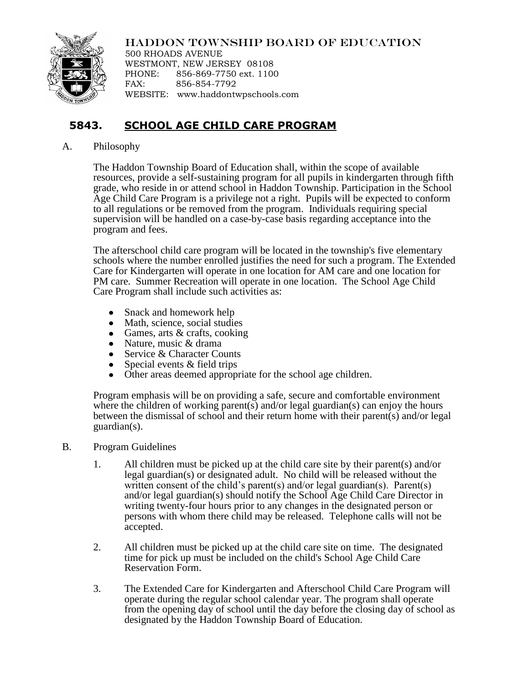## HADDON TOWNSHIP BOARD OF EDUCATION



500 RHOADS AVENUE WESTMONT, NEW JERSEY 08108 PHONE: 856-869-7750 ext. 1100 FAX: 856-854-7792 WEBSITE: www.haddontwpschools.com

## **5843. SCHOOL AGE CHILD CARE PROGRAM**

## A. Philosophy

The Haddon Township Board of Education shall, within the scope of available resources, provide a self-sustaining program for all pupils in kindergarten through fifth grade, who reside in or attend school in Haddon Township. Participation in the School Age Child Care Program is a privilege not a right. Pupils will be expected to conform to all regulations or be removed from the program. Individuals requiring special supervision will be handled on a case-by-case basis regarding acceptance into the program and fees.

The afterschool child care program will be located in the township's five elementary schools where the number enrolled justifies the need for such a program. The Extended Care for Kindergarten will operate in one location for AM care and one location for PM care. Summer Recreation will operate in one location. The School Age Child Care Program shall include such activities as:

- Snack and homework help  $\bullet$
- Math, science, social studies
- Games, arts & crafts, cooking
- Nature, music & drama
- Service & Character Counts
- $\bullet$ Special events & field trips
- Other areas deemed appropriate for the school age children.

Program emphasis will be on providing a safe, secure and comfortable environment where the children of working parent(s) and/or legal guardian(s) can enjoy the hours between the dismissal of school and their return home with their parent(s) and/or legal guardian(s).

- B. Program Guidelines
	- 1. All children must be picked up at the child care site by their parent(s) and/or legal guardian(s) or designated adult. No child will be released without the written consent of the child's parent(s) and/or legal guardian(s). Parent(s) and/or legal guardian(s) should notify the School Age Child Care Director in writing twenty-four hours prior to any changes in the designated person or persons with whom there child may be released. Telephone calls will not be accepted.
	- 2. All children must be picked up at the child care site on time. The designated time for pick up must be included on the child's School Age Child Care Reservation Form.
	- 3. The Extended Care for Kindergarten and Afterschool Child Care Program will operate during the regular school calendar year. The program shall operate from the opening day of school until the day before the closing day of school as designated by the Haddon Township Board of Education.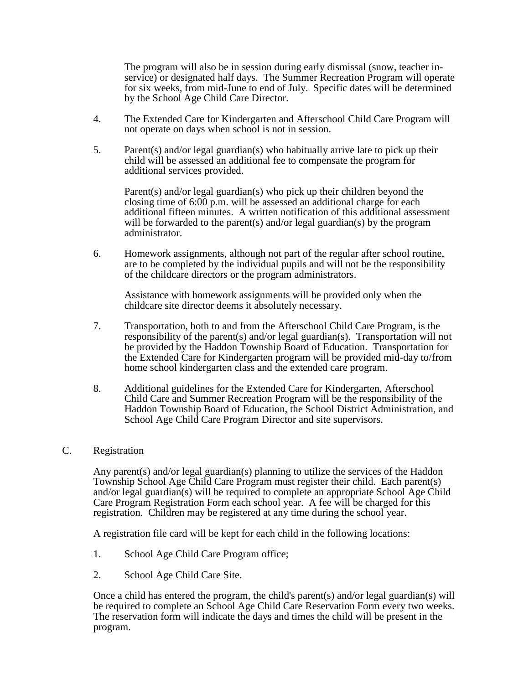The program will also be in session during early dismissal (snow, teacher inservice) or designated half days. The Summer Recreation Program will operate for six weeks, from mid-June to end of July. Specific dates will be determined by the School Age Child Care Director.

- 4. The Extended Care for Kindergarten and Afterschool Child Care Program will not operate on days when school is not in session.
- 5. Parent(s) and/or legal guardian(s) who habitually arrive late to pick up their child will be assessed an additional fee to compensate the program for additional services provided.

Parent(s) and/or legal guardian(s) who pick up their children beyond the closing time of 6:00 p.m. will be assessed an additional charge for each additional fifteen minutes. A written notification of this additional assessment will be forwarded to the parent(s) and/or legal guardian(s) by the program administrator.

6. Homework assignments, although not part of the regular after school routine, are to be completed by the individual pupils and will not be the responsibility of the childcare directors or the program administrators.

Assistance with homework assignments will be provided only when the childcare site director deems it absolutely necessary.

- 7. Transportation, both to and from the Afterschool Child Care Program, is the responsibility of the parent(s) and/or legal guardian(s). Transportation will not be provided by the Haddon Township Board of Education. Transportation for the Extended Care for Kindergarten program will be provided mid-day to/from home school kindergarten class and the extended care program.
- 8. Additional guidelines for the Extended Care for Kindergarten, Afterschool Child Care and Summer Recreation Program will be the responsibility of the Haddon Township Board of Education, the School District Administration, and School Age Child Care Program Director and site supervisors.

## C. Registration

Any parent(s) and/or legal guardian(s) planning to utilize the services of the Haddon Township School Age Child Care Program must register their child. Each parent(s) and/or legal guardian(s) will be required to complete an appropriate School Age Child Care Program Registration Form each school year. A fee will be charged for this registration. Children may be registered at any time during the school year.

A registration file card will be kept for each child in the following locations:

- 1. School Age Child Care Program office;
- 2. School Age Child Care Site.

Once a child has entered the program, the child's parent(s) and/or legal guardian(s) will be required to complete an School Age Child Care Reservation Form every two weeks. The reservation form will indicate the days and times the child will be present in the program.